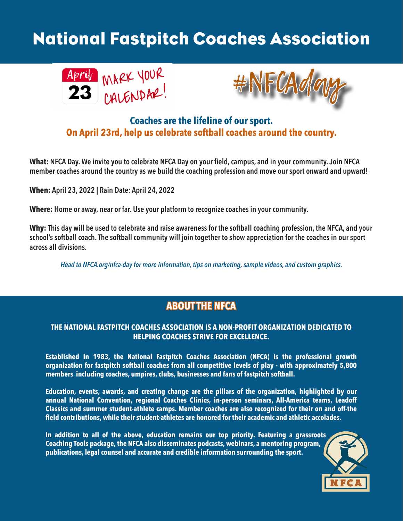# National Fastpitch Coaches Association





### **Coaches are the lifeline of our sport. On April 23rd, help us celebrate softball coaches around the country.**

**What: NFCA Day. We invite you to celebrate NFCA Day on your field, campus, and in your community. Join NFCA member coaches around the country as we build the coaching profession and move our sport onward and upward!**

**When: April 23, 2022 | Rain Date: April 24, 2022**

**Where: Home or away, near or far. Use your platform to recognize coaches in your community.** 

**Why: This day will be used to celebrate and raise awareness for the softball coaching profession, the NFCA, and your school's softball coach. The softball community will join together to show appreciation for the coaches in our sport across all divisions.** 

*Head to NFCA.org/nfca-day for more information, tips on marketing, sample videos, and custom graphics.* 

## **ABOUT THE NFCA**

#### **THE NATIONAL FASTPITCH COACHES ASSOCIATION IS A NON-PROFIT ORGANIZATION DEDICATED TO HELPING COACHES STRIVE FOR EXCELLENCE.**

**Established in 1983, the National Fastpitch Coaches Association (NFCA) is the professional growth organization for fastpitch softball coaches from all competitive levels of play - with approximately 5,800 members including coaches, umpires, clubs, businesses and fans of fastpitch softball.** 

**Education, events, awards, and creating change are the pillars of the organization, highlighted by our annual National Convention, regional Coaches Clinics, in-person seminars, All-America teams, Leadoff Classics and summer student-athlete camps. Member coaches are also recognized for their on and off-the field contributions, while their student-athletes are honored for their academic and athletic accolades.**

**In addition to all of the above, education remains our top priority. Featuring a grassroots Coaching Tools package, the NFCA also disseminates podcasts, webinars, a mentoring program, publications, legal counsel and accurate and credible information surrounding the sport.**